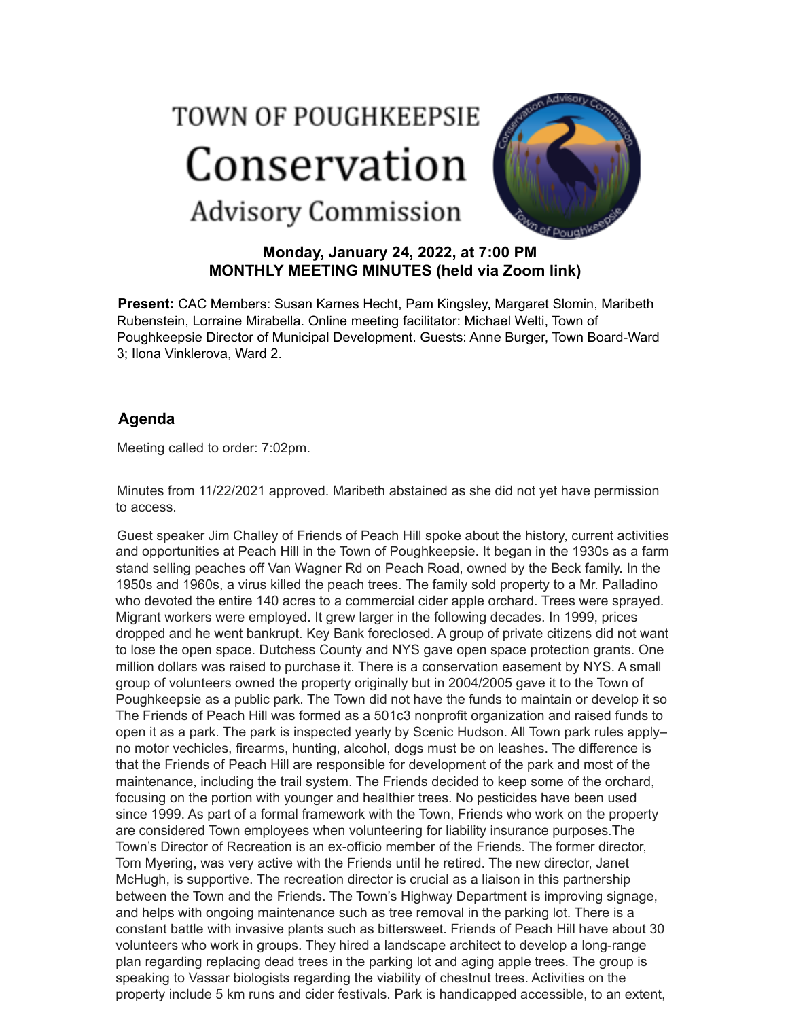## TOWN OF POUGHKEEPSIE Conservation **Advisory Commission**



## **Monday, January 24, 2022, at 7:00 PM MONTHLY MEETING MINUTES (held via Zoom link)**

**Present:** CAC Members: Susan Karnes Hecht, Pam Kingsley, Margaret Slomin, Maribeth Rubenstein, Lorraine Mirabella. Online meeting facilitator: Michael Welti, Town of Poughkeepsie Director of Municipal Development. Guests: Anne Burger, Town Board-Ward 3; Ilona Vinklerova, Ward 2.

## **Agenda**

Meeting called to order: 7:02pm.

Minutes from 11/22/2021 approved. Maribeth abstained as she did not yet have permission to access.

Guest speaker Jim Challey of Friends of Peach Hill spoke about the history, current activities and opportunities at Peach Hill in the Town of Poughkeepsie. It began in the 1930s as a farm stand selling peaches off Van Wagner Rd on Peach Road, owned by the Beck family. In the 1950s and 1960s, a virus killed the peach trees. The family sold property to a Mr. Palladino who devoted the entire 140 acres to a commercial cider apple orchard. Trees were sprayed. Migrant workers were employed. It grew larger in the following decades. In 1999, prices dropped and he went bankrupt. Key Bank foreclosed. A group of private citizens did not want to lose the open space. Dutchess County and NYS gave open space protection grants. One million dollars was raised to purchase it. There is a conservation easement by NYS. A small group of volunteers owned the property originally but in 2004/2005 gave it to the Town of Poughkeepsie as a public park. The Town did not have the funds to maintain or develop it so The Friends of Peach Hill was formed as a 501c3 nonprofit organization and raised funds to open it as a park. The park is inspected yearly by Scenic Hudson. All Town park rules apply– no motor vechicles, firearms, hunting, alcohol, dogs must be on leashes. The difference is that the Friends of Peach Hill are responsible for development of the park and most of the maintenance, including the trail system. The Friends decided to keep some of the orchard, focusing on the portion with younger and healthier trees. No pesticides have been used since 1999. As part of a formal framework with the Town, Friends who work on the property are considered Town employees when volunteering for liability insurance purposes.The Town's Director of Recreation is an ex-officio member of the Friends. The former director, Tom Myering, was very active with the Friends until he retired. The new director, Janet McHugh, is supportive. The recreation director is crucial as a liaison in this partnership between the Town and the Friends. The Town's Highway Department is improving signage, and helps with ongoing maintenance such as tree removal in the parking lot. There is a constant battle with invasive plants such as bittersweet. Friends of Peach Hill have about 30 volunteers who work in groups. They hired a landscape architect to develop a long-range plan regarding replacing dead trees in the parking lot and aging apple trees. The group is speaking to Vassar biologists regarding the viability of chestnut trees. Activities on the property include 5 km runs and cider festivals. Park is handicapped accessible, to an extent,